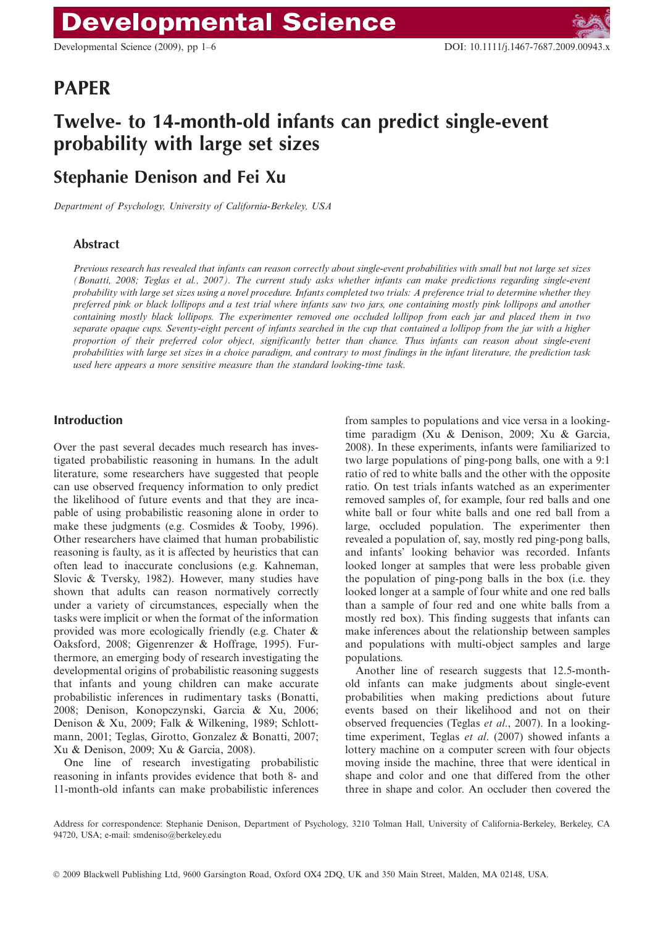# PAPER

# Twelve- to 14-month-old infants can predict single-event probability with large set sizes

# Stephanie Denison and Fei Xu

Department of Psychology, University of California-Berkeley, USA

### Abstract

Previous research has revealed that infants can reason correctly about single-event probabilities with small but not large set sizes (Bonatti, 2008; Teglas et al., 2007). The current study asks whether infants can make predictions regarding single-event probability with large set sizes using a novel procedure. Infants completed two trials: A preference trial to determine whether they preferred pink or black lollipops and a test trial where infants saw two jars, one containing mostly pink lollipops and another containing mostly black lollipops. The experimenter removed one occluded lollipop from each jar and placed them in two separate opaque cups. Seventy-eight percent of infants searched in the cup that contained a lollipop from the jar with a higher proportion of their preferred color object, significantly better than chance. Thus infants can reason about single-event probabilities with large set sizes in a choice paradigm, and contrary to most findings in the infant literature, the prediction task used here appears a more sensitive measure than the standard looking-time task.

#### Introduction

Over the past several decades much research has investigated probabilistic reasoning in humans. In the adult literature, some researchers have suggested that people can use observed frequency information to only predict the likelihood of future events and that they are incapable of using probabilistic reasoning alone in order to make these judgments (e.g. Cosmides & Tooby, 1996). Other researchers have claimed that human probabilistic reasoning is faulty, as it is affected by heuristics that can often lead to inaccurate conclusions (e.g. Kahneman, Slovic & Tversky, 1982). However, many studies have shown that adults can reason normatively correctly under a variety of circumstances, especially when the tasks were implicit or when the format of the information provided was more ecologically friendly (e.g. Chater & Oaksford, 2008; Gigenrenzer & Hoffrage, 1995). Furthermore, an emerging body of research investigating the developmental origins of probabilistic reasoning suggests that infants and young children can make accurate probabilistic inferences in rudimentary tasks (Bonatti, 2008; Denison, Konopczynski, Garcia & Xu, 2006; Denison & Xu, 2009; Falk & Wilkening, 1989; Schlottmann, 2001; Teglas, Girotto, Gonzalez & Bonatti, 2007; Xu & Denison, 2009; Xu & Garcia, 2008).

One line of research investigating probabilistic reasoning in infants provides evidence that both 8- and 11-month-old infants can make probabilistic inferences from samples to populations and vice versa in a lookingtime paradigm (Xu & Denison, 2009; Xu & Garcia, 2008). In these experiments, infants were familiarized to two large populations of ping-pong balls, one with a 9:1 ratio of red to white balls and the other with the opposite ratio. On test trials infants watched as an experimenter removed samples of, for example, four red balls and one white ball or four white balls and one red ball from a large, occluded population. The experimenter then revealed a population of, say, mostly red ping-pong balls, and infants' looking behavior was recorded. Infants looked longer at samples that were less probable given the population of ping-pong balls in the box (i.e. they looked longer at a sample of four white and one red balls than a sample of four red and one white balls from a mostly red box). This finding suggests that infants can make inferences about the relationship between samples and populations with multi-object samples and large populations.

Another line of research suggests that 12.5-monthold infants can make judgments about single-event probabilities when making predictions about future events based on their likelihood and not on their observed frequencies (Teglas et al., 2007). In a lookingtime experiment, Teglas *et al.* (2007) showed infants a lottery machine on a computer screen with four objects moving inside the machine, three that were identical in shape and color and one that differed from the other three in shape and color. An occluder then covered the

Address for correspondence: Stephanie Denison, Department of Psychology, 3210 Tolman Hall, University of California-Berkeley, Berkeley, CA 94720, USA; e-mail: smdeniso@berkeley.edu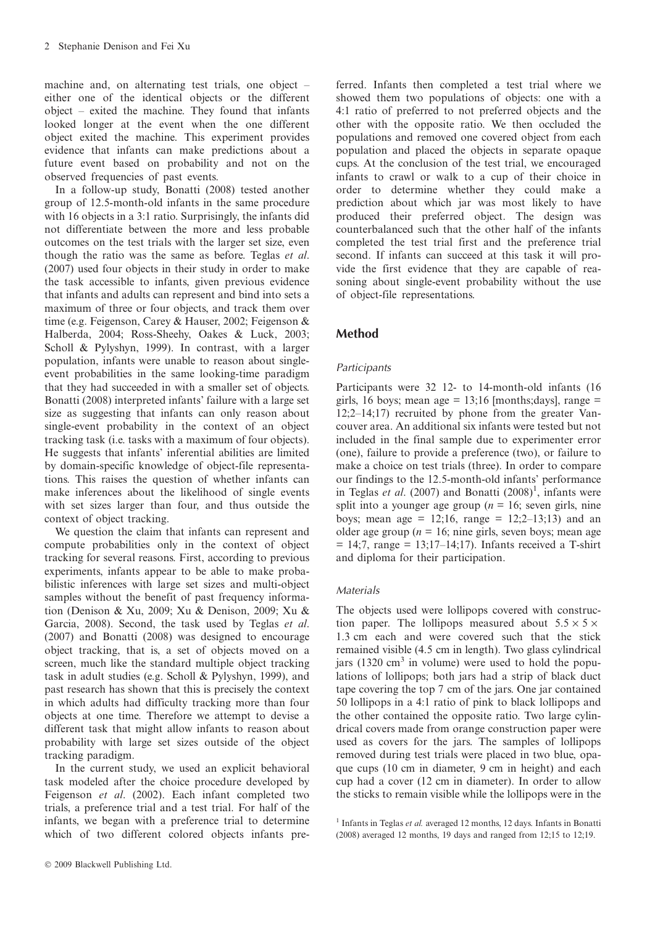machine and, on alternating test trials, one object – either one of the identical objects or the different object – exited the machine. They found that infants looked longer at the event when the one different object exited the machine. This experiment provides evidence that infants can make predictions about a future event based on probability and not on the observed frequencies of past events.

In a follow-up study, Bonatti (2008) tested another group of 12.5-month-old infants in the same procedure with 16 objects in a 3:1 ratio. Surprisingly, the infants did not differentiate between the more and less probable outcomes on the test trials with the larger set size, even though the ratio was the same as before. Teglas et al. (2007) used four objects in their study in order to make the task accessible to infants, given previous evidence that infants and adults can represent and bind into sets a maximum of three or four objects, and track them over time (e.g. Feigenson, Carey & Hauser, 2002; Feigenson & Halberda, 2004; Ross-Sheehy, Oakes & Luck, 2003; Scholl & Pylyshyn, 1999). In contrast, with a larger population, infants were unable to reason about singleevent probabilities in the same looking-time paradigm that they had succeeded in with a smaller set of objects. Bonatti (2008) interpreted infants' failure with a large set size as suggesting that infants can only reason about single-event probability in the context of an object tracking task (i.e. tasks with a maximum of four objects). He suggests that infants' inferential abilities are limited by domain-specific knowledge of object-file representations. This raises the question of whether infants can make inferences about the likelihood of single events with set sizes larger than four, and thus outside the context of object tracking.

We question the claim that infants can represent and compute probabilities only in the context of object tracking for several reasons. First, according to previous experiments, infants appear to be able to make probabilistic inferences with large set sizes and multi-object samples without the benefit of past frequency information (Denison & Xu, 2009; Xu & Denison, 2009; Xu & Garcia, 2008). Second, the task used by Teglas et al. (2007) and Bonatti (2008) was designed to encourage object tracking, that is, a set of objects moved on a screen, much like the standard multiple object tracking task in adult studies (e.g. Scholl & Pylyshyn, 1999), and past research has shown that this is precisely the context in which adults had difficulty tracking more than four objects at one time. Therefore we attempt to devise a different task that might allow infants to reason about probability with large set sizes outside of the object tracking paradigm.

In the current study, we used an explicit behavioral task modeled after the choice procedure developed by Feigenson et al. (2002). Each infant completed two trials, a preference trial and a test trial. For half of the infants, we began with a preference trial to determine which of two different colored objects infants preferred. Infants then completed a test trial where we showed them two populations of objects: one with a 4:1 ratio of preferred to not preferred objects and the other with the opposite ratio. We then occluded the populations and removed one covered object from each population and placed the objects in separate opaque cups. At the conclusion of the test trial, we encouraged infants to crawl or walk to a cup of their choice in order to determine whether they could make a prediction about which jar was most likely to have produced their preferred object. The design was counterbalanced such that the other half of the infants completed the test trial first and the preference trial second. If infants can succeed at this task it will provide the first evidence that they are capable of reasoning about single-event probability without the use of object-file representations.

### Method

#### Participants

Participants were 32 12- to 14-month-old infants (16 girls, 16 boys; mean age  $= 13;16$  [months; days], range  $=$ 12;2–14;17) recruited by phone from the greater Vancouver area. An additional six infants were tested but not included in the final sample due to experimenter error (one), failure to provide a preference (two), or failure to make a choice on test trials (three). In order to compare our findings to the 12.5-month-old infants' performance in Teglas et al. (2007) and Bonatti  $(2008)^1$ , infants were split into a younger age group ( $n = 16$ ; seven girls, nine boys; mean age =  $12;16$ , range =  $12;2-13;13$ ) and an older age group ( $n = 16$ ; nine girls, seven boys; mean age  $= 14$ ;7, range  $= 13$ ;17-14;17). Infants received a T-shirt and diploma for their participation.

#### Materials

The objects used were lollipops covered with construction paper. The lollipops measured about  $5.5 \times 5 \times$ 1.3 cm each and were covered such that the stick remained visible (4.5 cm in length). Two glass cylindrical jars (1320 cm<sup>3</sup> in volume) were used to hold the populations of lollipops; both jars had a strip of black duct tape covering the top 7 cm of the jars. One jar contained 50 lollipops in a 4:1 ratio of pink to black lollipops and the other contained the opposite ratio. Two large cylindrical covers made from orange construction paper were used as covers for the jars. The samples of lollipops removed during test trials were placed in two blue, opaque cups (10 cm in diameter, 9 cm in height) and each cup had a cover (12 cm in diameter). In order to allow the sticks to remain visible while the lollipops were in the

 $1$  Infants in Teglas et al. averaged 12 months, 12 days. Infants in Bonatti (2008) averaged 12 months, 19 days and ranged from 12;15 to 12;19.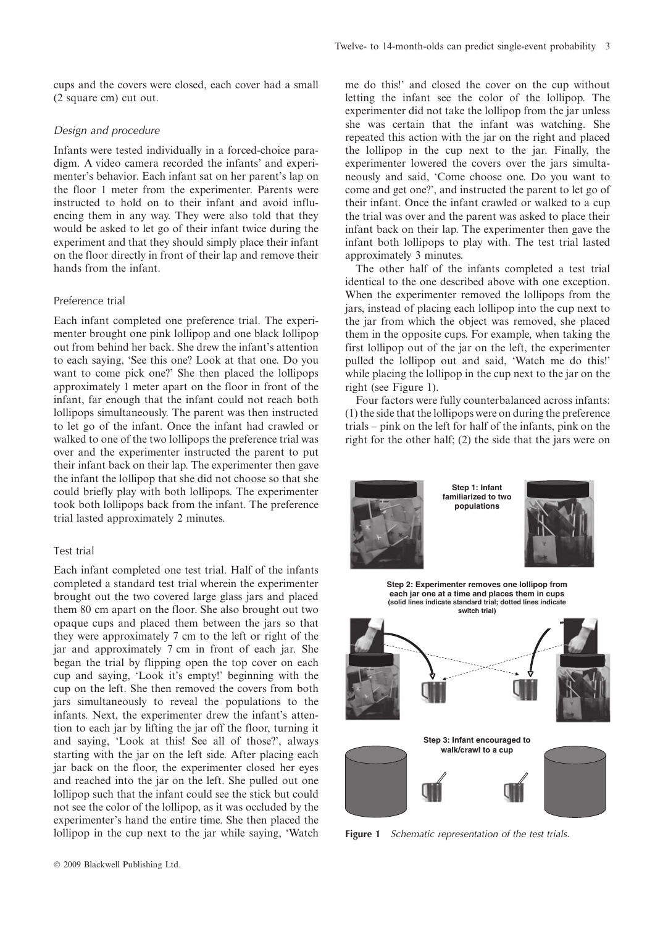cups and the covers were closed, each cover had a small (2 square cm) cut out.

#### Design and procedure

Infants were tested individually in a forced-choice paradigm. A video camera recorded the infants' and experimenter's behavior. Each infant sat on her parent's lap on the floor 1 meter from the experimenter. Parents were instructed to hold on to their infant and avoid influencing them in any way. They were also told that they would be asked to let go of their infant twice during the experiment and that they should simply place their infant on the floor directly in front of their lap and remove their hands from the infant.

#### Preference trial

Each infant completed one preference trial. The experimenter brought one pink lollipop and one black lollipop out from behind her back. She drew the infant's attention to each saying, 'See this one? Look at that one. Do you want to come pick one?' She then placed the lollipops approximately 1 meter apart on the floor in front of the infant, far enough that the infant could not reach both lollipops simultaneously. The parent was then instructed to let go of the infant. Once the infant had crawled or walked to one of the two lollipops the preference trial was over and the experimenter instructed the parent to put their infant back on their lap. The experimenter then gave the infant the lollipop that she did not choose so that she could briefly play with both lollipops. The experimenter took both lollipops back from the infant. The preference trial lasted approximately 2 minutes.

#### Test trial

Each infant completed one test trial. Half of the infants completed a standard test trial wherein the experimenter brought out the two covered large glass jars and placed them 80 cm apart on the floor. She also brought out two opaque cups and placed them between the jars so that they were approximately 7 cm to the left or right of the jar and approximately 7 cm in front of each jar. She began the trial by flipping open the top cover on each cup and saying, 'Look it's empty!' beginning with the cup on the left. She then removed the covers from both jars simultaneously to reveal the populations to the infants. Next, the experimenter drew the infant's attention to each jar by lifting the jar off the floor, turning it and saying, 'Look at this! See all of those?', always starting with the jar on the left side. After placing each jar back on the floor, the experimenter closed her eyes and reached into the jar on the left. She pulled out one lollipop such that the infant could see the stick but could not see the color of the lollipop, as it was occluded by the experimenter's hand the entire time. She then placed the lollipop in the cup next to the jar while saying, 'Watch me do this!' and closed the cover on the cup without letting the infant see the color of the lollipop. The experimenter did not take the lollipop from the jar unless she was certain that the infant was watching. She repeated this action with the jar on the right and placed the lollipop in the cup next to the jar. Finally, the experimenter lowered the covers over the jars simultaneously and said, 'Come choose one. Do you want to come and get one?', and instructed the parent to let go of their infant. Once the infant crawled or walked to a cup the trial was over and the parent was asked to place their infant back on their lap. The experimenter then gave the infant both lollipops to play with. The test trial lasted approximately 3 minutes.

The other half of the infants completed a test trial identical to the one described above with one exception. When the experimenter removed the lollipops from the jars, instead of placing each lollipop into the cup next to the jar from which the object was removed, she placed them in the opposite cups. For example, when taking the first lollipop out of the jar on the left, the experimenter pulled the lollipop out and said, 'Watch me do this!' while placing the lollipop in the cup next to the jar on the right (see Figure 1).

Four factors were fully counterbalanced across infants: (1) the side that the lollipops were on during the preference trials – pink on the left for half of the infants, pink on the right for the other half; (2) the side that the jars were on



**Step 1: Infant familiarized to two populations**



**Step 2: Experimenter removes one lollipop from each jar one at a time and places them in cups (solid lines indicate standard trial; dotted lines indicate switch trial)**



Figure 1 Schematic representation of the test trials.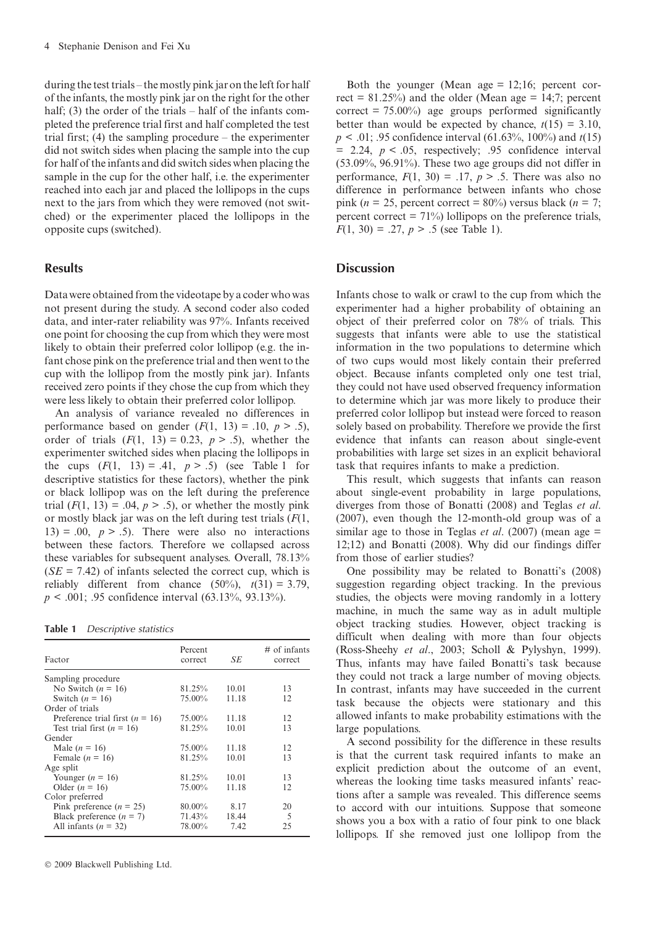during the test trials – the mostly pink jar on the left for half of the infants, the mostly pink jar on the right for the other half; (3) the order of the trials – half of the infants completed the preference trial first and half completed the test trial first; (4) the sampling procedure – the experimenter did not switch sides when placing the sample into the cup for half of the infants and did switch sides when placing the sample in the cup for the other half, i.e. the experimenter reached into each jar and placed the lollipops in the cups next to the jars from which they were removed (not switched) or the experimenter placed the lollipops in the opposite cups (switched).

#### **Results**

Datawere obtained from the videotape by a coder who was not present during the study. A second coder also coded data, and inter-rater reliability was 97%. Infants received one point for choosing the cup from which they were most likely to obtain their preferred color lollipop (e.g. the infant chose pink on the preference trial and then went to the cup with the lollipop from the mostly pink jar). Infants received zero points if they chose the cup from which they were less likely to obtain their preferred color lollipop.

An analysis of variance revealed no differences in performance based on gender  $(F(1, 13) = .10, p > .5)$ , order of trials  $(F(1, 13) = 0.23, p > .5)$ , whether the experimenter switched sides when placing the lollipops in the cups  $(F(1, 13) = .41, p > .5)$  (see Table 1 for descriptive statistics for these factors), whether the pink or black lollipop was on the left during the preference trial  $(F(1, 13) = .04, p > .5)$ , or whether the mostly pink or mostly black jar was on the left during test trials  $(F(1,$  $13$ ) = .00,  $p > .5$ ). There were also no interactions between these factors. Therefore we collapsed across these variables for subsequent analyses. Overall, 78.13%  $(SE = 7.42)$  of infants selected the correct cup, which is reliably different from chance  $(50\%)$ ,  $t(31) = 3.79$ ,  $p < .001$ ; .95 confidence interval (63.13%, 93.13%).

Table 1 Descriptive statistics

| Factor                              | Percent<br>correct | SE    | $\#$ of infants<br>correct |
|-------------------------------------|--------------------|-------|----------------------------|
| Sampling procedure                  |                    |       |                            |
| No Switch $(n = 16)$                | 81.25%             | 10.01 | 13                         |
| Switch $(n = 16)$                   | 75.00%             | 11.18 | 12                         |
| Order of trials                     |                    |       |                            |
| Preference trial first ( $n = 16$ ) | 75.00%             | 11.18 | 12                         |
| Test trial first $(n = 16)$         | 81.25%             | 10.01 | 13                         |
| Gender                              |                    |       |                            |
| Male $(n = 16)$                     | 75.00%             | 11.18 | 12                         |
| Female $(n = 16)$                   | 81.25%             | 10.01 | 13                         |
| Age split                           |                    |       |                            |
| Younger $(n = 16)$                  | 81.25%             | 10.01 | 13                         |
| Older $(n = 16)$                    | 75.00%             | 11.18 | 12                         |
| Color preferred                     |                    |       |                            |
| Pink preference $(n = 25)$          | $80.00\%$          | 8.17  | 20                         |
| Black preference $(n = 7)$          | 71.43%             | 18.44 | 5                          |
| All infants $(n = 32)$              | 78.00%             | 7.42  | 25                         |

 $© 2009 Blackwell Publishing Ltd.$ 

Both the younger (Mean age  $= 12;16$ ; percent correct =  $81.25\%$ ) and the older (Mean age = 14;7; percent correct =  $75.00\%$ ) age groups performed significantly better than would be expected by chance,  $t(15) = 3.10$ ,  $p < .01$ ; .95 confidence interval (61.63%, 100%) and  $t(15)$  $= 2.24, p < .05$ , respectively; .95 confidence interval (53.09%, 96.91%). These two age groups did not differ in performance,  $F(1, 30) = .17$ ,  $p > .5$ . There was also no difference in performance between infants who chose pink (*n* = 25, percent correct =  $80\%$ ) versus black (*n* = 7; percent correct  $= 71\%$ ) lollipops on the preference trials,  $F(1, 30) = .27, p > .5$  (see Table 1).

#### **Discussion**

Infants chose to walk or crawl to the cup from which the experimenter had a higher probability of obtaining an object of their preferred color on 78% of trials. This suggests that infants were able to use the statistical information in the two populations to determine which of two cups would most likely contain their preferred object. Because infants completed only one test trial, they could not have used observed frequency information to determine which jar was more likely to produce their preferred color lollipop but instead were forced to reason solely based on probability. Therefore we provide the first evidence that infants can reason about single-event probabilities with large set sizes in an explicit behavioral task that requires infants to make a prediction.

This result, which suggests that infants can reason about single-event probability in large populations, diverges from those of Bonatti (2008) and Teglas et al. (2007), even though the 12-month-old group was of a similar age to those in Teglas *et al.* (2007) (mean age  $=$ 12;12) and Bonatti (2008). Why did our findings differ from those of earlier studies?

One possibility may be related to Bonatti's (2008) suggestion regarding object tracking. In the previous studies, the objects were moving randomly in a lottery machine, in much the same way as in adult multiple object tracking studies. However, object tracking is difficult when dealing with more than four objects (Ross-Sheehy et al., 2003; Scholl & Pylyshyn, 1999). Thus, infants may have failed Bonatti's task because they could not track a large number of moving objects. In contrast, infants may have succeeded in the current task because the objects were stationary and this allowed infants to make probability estimations with the large populations.

A second possibility for the difference in these results is that the current task required infants to make an explicit prediction about the outcome of an event, whereas the looking time tasks measured infants' reactions after a sample was revealed. This difference seems to accord with our intuitions. Suppose that someone shows you a box with a ratio of four pink to one black lollipops. If she removed just one lollipop from the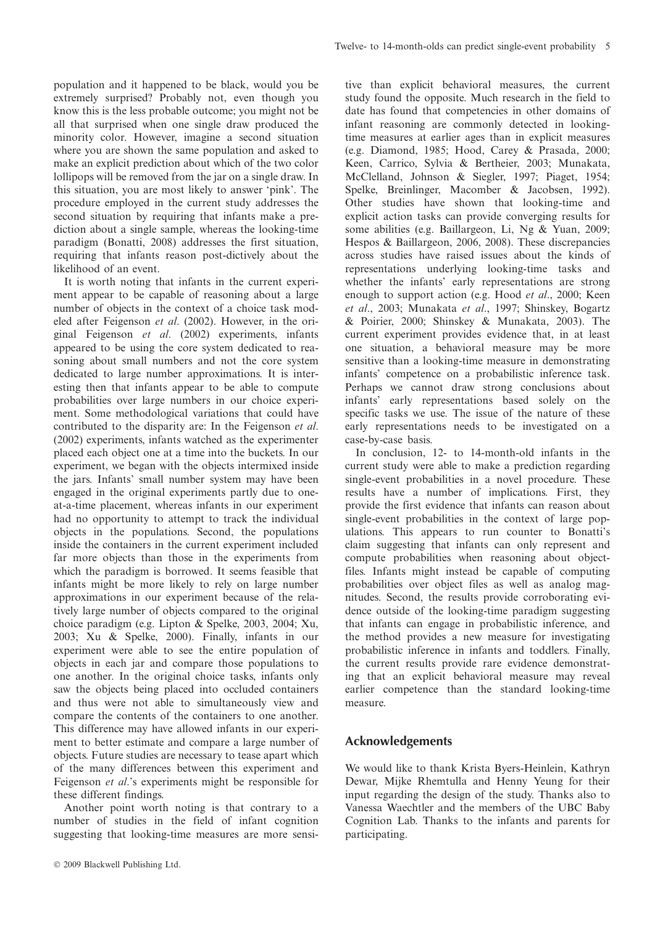population and it happened to be black, would you be extremely surprised? Probably not, even though you know this is the less probable outcome; you might not be all that surprised when one single draw produced the minority color. However, imagine a second situation where you are shown the same population and asked to make an explicit prediction about which of the two color lollipops will be removed from the jar on a single draw. In this situation, you are most likely to answer 'pink'. The procedure employed in the current study addresses the second situation by requiring that infants make a prediction about a single sample, whereas the looking-time paradigm (Bonatti, 2008) addresses the first situation, requiring that infants reason post-dictively about the likelihood of an event.

It is worth noting that infants in the current experiment appear to be capable of reasoning about a large number of objects in the context of a choice task modeled after Feigenson et al. (2002). However, in the original Feigenson et al. (2002) experiments, infants appeared to be using the core system dedicated to reasoning about small numbers and not the core system dedicated to large number approximations. It is interesting then that infants appear to be able to compute probabilities over large numbers in our choice experiment. Some methodological variations that could have contributed to the disparity are: In the Feigenson et al. (2002) experiments, infants watched as the experimenter placed each object one at a time into the buckets. In our experiment, we began with the objects intermixed inside the jars. Infants' small number system may have been engaged in the original experiments partly due to oneat-a-time placement, whereas infants in our experiment had no opportunity to attempt to track the individual objects in the populations. Second, the populations inside the containers in the current experiment included far more objects than those in the experiments from which the paradigm is borrowed. It seems feasible that infants might be more likely to rely on large number approximations in our experiment because of the relatively large number of objects compared to the original choice paradigm (e.g. Lipton & Spelke, 2003, 2004; Xu, 2003; Xu & Spelke, 2000). Finally, infants in our experiment were able to see the entire population of objects in each jar and compare those populations to one another. In the original choice tasks, infants only saw the objects being placed into occluded containers and thus were not able to simultaneously view and compare the contents of the containers to one another. This difference may have allowed infants in our experiment to better estimate and compare a large number of objects. Future studies are necessary to tease apart which of the many differences between this experiment and Feigenson et al.'s experiments might be responsible for these different findings.

Another point worth noting is that contrary to a number of studies in the field of infant cognition suggesting that looking-time measures are more sensitive than explicit behavioral measures, the current study found the opposite. Much research in the field to date has found that competencies in other domains of infant reasoning are commonly detected in lookingtime measures at earlier ages than in explicit measures (e.g. Diamond, 1985; Hood, Carey & Prasada, 2000; Keen, Carrico, Sylvia & Bertheier, 2003; Munakata, McClelland, Johnson & Siegler, 1997; Piaget, 1954; Spelke, Breinlinger, Macomber & Jacobsen, 1992). Other studies have shown that looking-time and explicit action tasks can provide converging results for some abilities (e.g. Baillargeon, Li, Ng & Yuan, 2009; Hespos & Baillargeon, 2006, 2008). These discrepancies across studies have raised issues about the kinds of representations underlying looking-time tasks and whether the infants' early representations are strong enough to support action (e.g. Hood et al., 2000; Keen et al., 2003; Munakata et al., 1997; Shinskey, Bogartz & Poirier, 2000; Shinskey & Munakata, 2003). The current experiment provides evidence that, in at least one situation, a behavioral measure may be more sensitive than a looking-time measure in demonstrating infants' competence on a probabilistic inference task. Perhaps we cannot draw strong conclusions about infants' early representations based solely on the specific tasks we use. The issue of the nature of these early representations needs to be investigated on a case-by-case basis.

In conclusion, 12- to 14-month-old infants in the current study were able to make a prediction regarding single-event probabilities in a novel procedure. These results have a number of implications. First, they provide the first evidence that infants can reason about single-event probabilities in the context of large populations. This appears to run counter to Bonatti's claim suggesting that infants can only represent and compute probabilities when reasoning about objectfiles. Infants might instead be capable of computing probabilities over object files as well as analog magnitudes. Second, the results provide corroborating evidence outside of the looking-time paradigm suggesting that infants can engage in probabilistic inference, and the method provides a new measure for investigating probabilistic inference in infants and toddlers. Finally, the current results provide rare evidence demonstrating that an explicit behavioral measure may reveal earlier competence than the standard looking-time measure.

## Acknowledgements

We would like to thank Krista Byers-Heinlein, Kathryn Dewar, Mijke Rhemtulla and Henny Yeung for their input regarding the design of the study. Thanks also to Vanessa Waechtler and the members of the UBC Baby Cognition Lab. Thanks to the infants and parents for participating.